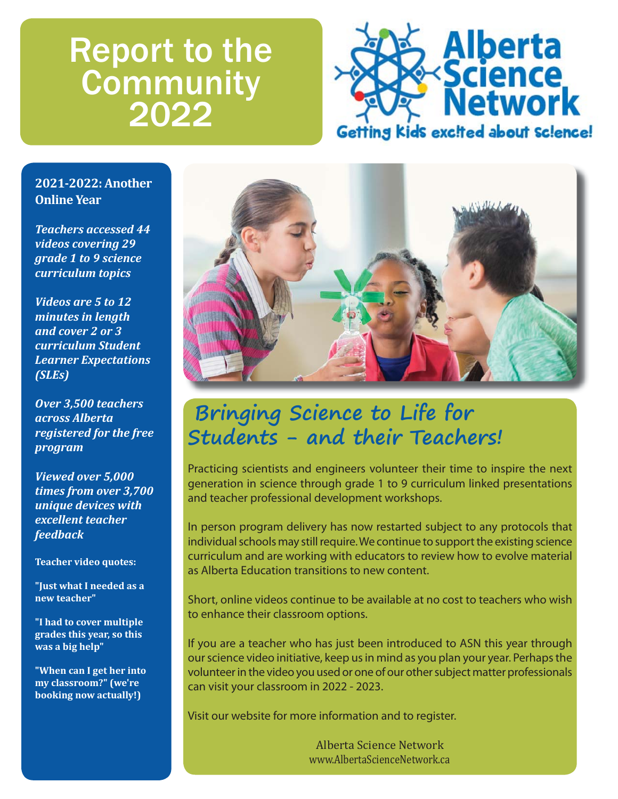# Report to the **Community** 2022



### **2021-2022: Another Online Year**

*Teachers accessed 44 videos covering 29 grade 1 to 9 science curriculum topics*

*Videos are 5 to 12 minutes in length and cover 2 or 3 curriculum Student Learner Expectations (SLEs)*

*Over 3,500 teachers across Alberta registered for the free program*

*Viewed over 5,000 times from over 3,700 unique devices with excellent teacher feedback*

**Teacher video quotes:**

**"Just what I needed as a new teacher"**

**"I had to cover multiple grades this year, so this was a big help"**

**"When can I get her into my classroom?" (we're booking now actually!)**



## **Bringing Science to Life for Students - and their Teachers!**

Practicing scientists and engineers volunteer their time to inspire the next generation in science through grade 1 to 9 curriculum linked presentations and teacher professional development workshops.

In person program delivery has now restarted subject to any protocols that individual schools may still require. We continue to support the existing science curriculum and are working with educators to review how to evolve material as Alberta Education transitions to new content.

Short, online videos continue to be available at no cost to teachers who wish to enhance their classroom options.

If you are a teacher who has just been introduced to ASN this year through our science video initiative, keep us in mind as you plan your year. Perhaps the volunteer in the video you used or one of our other subject matter professionals can visit your classroom in 2022 - 2023.

Visit our website for more information and to register.

Alberta Science Network www.AlbertaScienceNetwork.ca